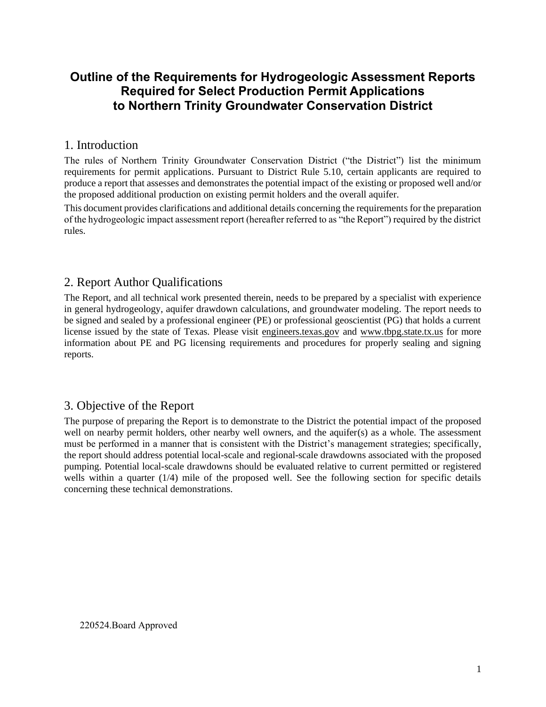# **Outline of the Requirements for Hydrogeologic Assessment Reports Required for Select Production Permit Applications to Northern Trinity Groundwater Conservation District**

## 1. Introduction

The rules of Northern Trinity Groundwater Conservation District ("the District") list the minimum requirements for permit applications. Pursuant to District Rule 5.10, certain applicants are required to produce a report that assesses and demonstrates the potential impact of the existing or proposed well and/or the proposed additional production on existing permit holders and the overall aquifer.

This document provides clarifications and additional details concerning the requirements for the preparation of the hydrogeologic impact assessment report (hereafter referred to as "the Report") required by the district rules.

## 2. Report Author Qualifications

The Report, and all technical work presented therein, needs to be prepared by a specialist with experience in general hydrogeology, aquifer drawdown calculations, and groundwater modeling. The report needs to be signed and sealed by a professional engineer (PE) or professional geoscientist (PG) that holds a current license issued by the state of Texas. Please visit engineers.texas.gov and www.tbpg.state.tx.us for more information about PE and PG licensing requirements and procedures for properly sealing and signing reports.

# 3. Objective of the Report

The purpose of preparing the Report is to demonstrate to the District the potential impact of the proposed well on nearby permit holders, other nearby well owners, and the aquifer(s) as a whole. The assessment must be performed in a manner that is consistent with the District's management strategies; specifically, the report should address potential local-scale and regional-scale drawdowns associated with the proposed pumping. Potential local-scale drawdowns should be evaluated relative to current permitted or registered wells within a quarter (1/4) mile of the proposed well. See the following section for specific details concerning these technical demonstrations.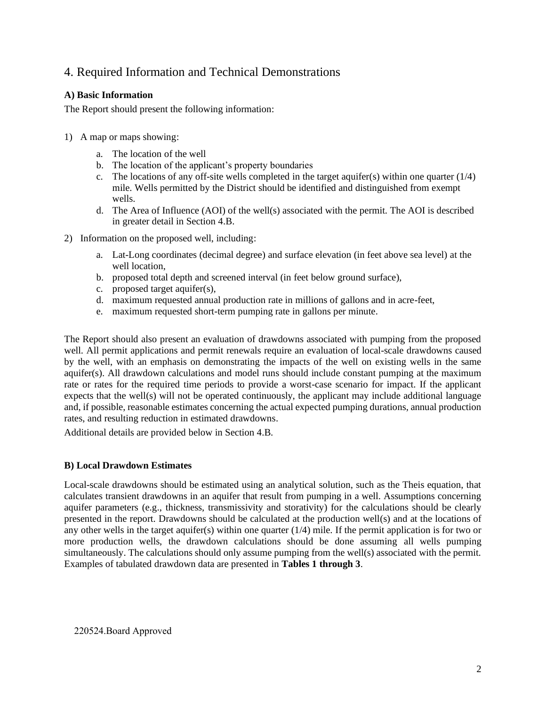# 4. Required Information and Technical Demonstrations

## **A) Basic Information**

The Report should present the following information:

- 1) A map or maps showing:
	- a. The location of the well
	- b. The location of the applicant's property boundaries
	- c. The locations of any off-site wells completed in the target aquifer(s) within one quarter  $(1/4)$ mile. Wells permitted by the District should be identified and distinguished from exempt wells.
	- d. The Area of Influence (AOI) of the well(s) associated with the permit. The AOI is described in greater detail in Section 4.B.
- 2) Information on the proposed well, including:
	- a. Lat-Long coordinates (decimal degree) and surface elevation (in feet above sea level) at the well location,
	- b. proposed total depth and screened interval (in feet below ground surface),
	- c. proposed target aquifer(s),
	- d. maximum requested annual production rate in millions of gallons and in acre-feet,
	- e. maximum requested short-term pumping rate in gallons per minute.

The Report should also present an evaluation of drawdowns associated with pumping from the proposed well. All permit applications and permit renewals require an evaluation of local-scale drawdowns caused by the well, with an emphasis on demonstrating the impacts of the well on existing wells in the same aquifer(s). All drawdown calculations and model runs should include constant pumping at the maximum rate or rates for the required time periods to provide a worst-case scenario for impact. If the applicant expects that the well(s) will not be operated continuously, the applicant may include additional language and, if possible, reasonable estimates concerning the actual expected pumping durations, annual production rates, and resulting reduction in estimated drawdowns.

Additional details are provided below in Section 4.B.

## **B) Local Drawdown Estimates**

Local-scale drawdowns should be estimated using an analytical solution, such as the Theis equation, that calculates transient drawdowns in an aquifer that result from pumping in a well. Assumptions concerning aquifer parameters (e.g., thickness, transmissivity and storativity) for the calculations should be clearly presented in the report. Drawdowns should be calculated at the production well(s) and at the locations of any other wells in the target aquifer(s) within one quarter (1/4) mile. If the permit application is for two or more production wells, the drawdown calculations should be done assuming all wells pumping simultaneously. The calculations should only assume pumping from the well(s) associated with the permit. Examples of tabulated drawdown data are presented in **Tables 1 through 3**.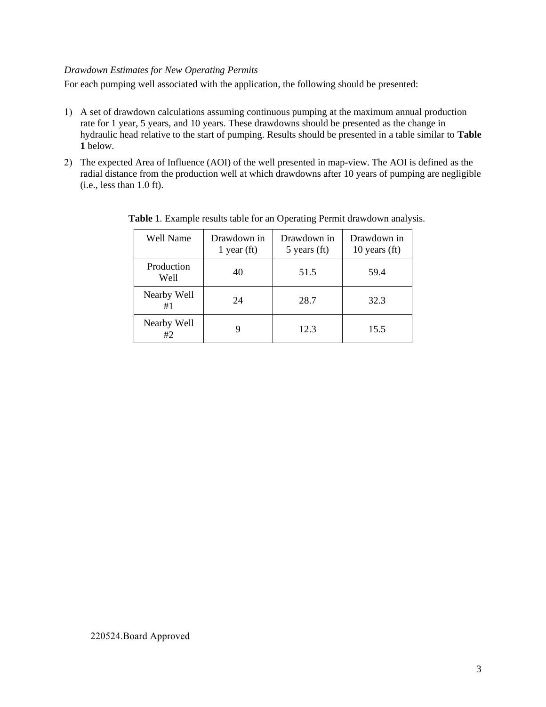### *Drawdown Estimates for New Operating Permits*

For each pumping well associated with the application, the following should be presented:

- 1) A set of drawdown calculations assuming continuous pumping at the maximum annual production rate for 1 year, 5 years, and 10 years. These drawdowns should be presented as the change in hydraulic head relative to the start of pumping. Results should be presented in a table similar to **Table 1** below.
- 2) The expected Area of Influence (AOI) of the well presented in map-view. The AOI is defined as the radial distance from the production well at which drawdowns after 10 years of pumping are negligible (i.e., less than 1.0 ft).

| Well Name          | Drawdown in<br>1 year $(ft)$ | Drawdown in<br>$5$ years (ft) | Drawdown in<br>10 years $(ft)$ |
|--------------------|------------------------------|-------------------------------|--------------------------------|
| Production<br>Well | 40                           | 51.5                          | 59.4                           |
| Nearby Well<br>#1  | 24                           | 28.7                          | 32.3                           |
| Nearby Well<br>#2  |                              | 12.3                          | 15.5                           |

**Table 1**. Example results table for an Operating Permit drawdown analysis.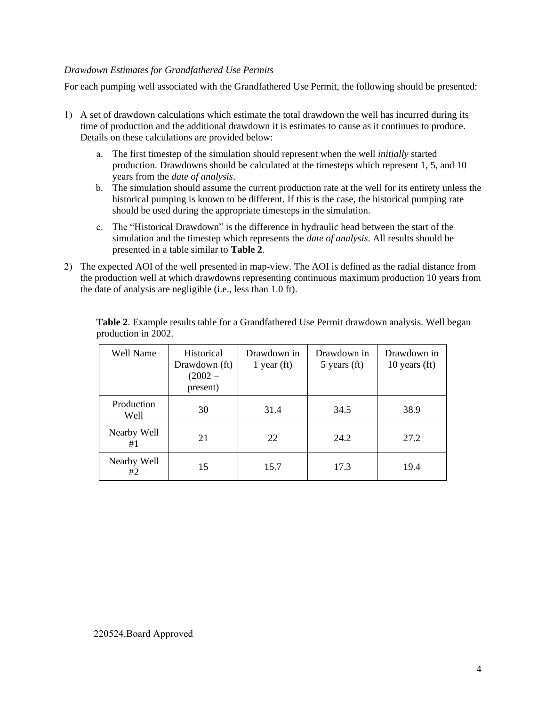### *Drawdown Estimates for Grandfathered Use Permits*

For each pumping well associated with the Grandfathered Use Permit, the following should be presented:

- 1) A set of drawdown calculations which estimate the total drawdown the well has incurred during its time of production and the additional drawdown it is estimates to cause as it continues to produce. Details on these calculations are provided below:
	- a. The first timestep of the simulation should represent when the well *initially* started production. Drawdowns should be calculated at the timesteps which represent 1, 5, and 10 years from the *date of analysis*.
	- b. The simulation should assume the current production rate at the well for its entirety unless the historical pumping is known to be different. If this is the case, the historical pumping rate should be used during the appropriate timesteps in the simulation.
	- c. The "Historical Drawdown" is the difference in hydraulic head between the start of the simulation and the timestep which represents the *date of analysis*. All results should be presented in a table similar to **Table 2**.
- 2) The expected AOI of the well presented in map-view. The AOI is defined as the radial distance from the production well at which drawdowns representing continuous maximum production 10 years from the date of analysis are negligible (i.e., less than 1.0 ft).

| Well Name          | Historical<br>Drawdown (ft)<br>$(2002 -$<br>present) | Drawdown in<br>1 year $(ft)$ | Drawdown in<br>$5$ years (ft) | Drawdown in<br>10 years $(ft)$ |
|--------------------|------------------------------------------------------|------------------------------|-------------------------------|--------------------------------|
| Production<br>Well | 30                                                   | 31.4                         | 34.5                          | 38.9                           |
| Nearby Well<br>#1  | 21                                                   | 22                           | 24.2                          | 27.2                           |
| Nearby Well<br>#2  | 15                                                   | 15.7                         | 17.3                          | 19.4                           |

**Table 2**. Example results table for a Grandfathered Use Permit drawdown analysis. Well began production in 2002.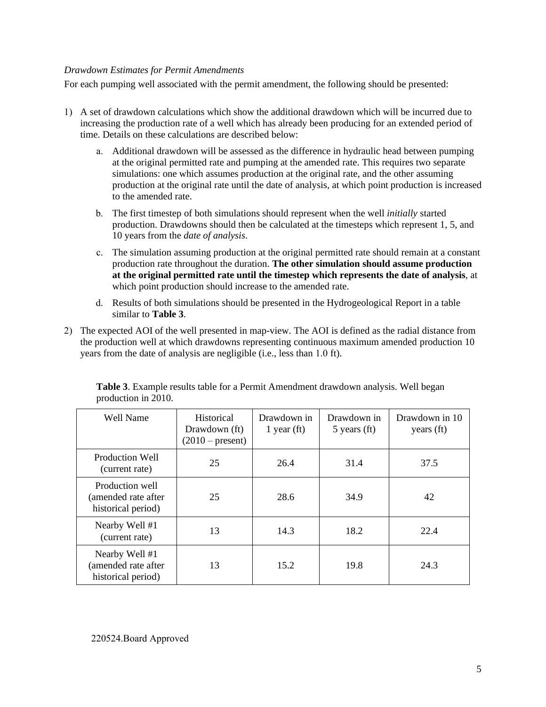### *Drawdown Estimates for Permit Amendments*

For each pumping well associated with the permit amendment, the following should be presented:

- 1) A set of drawdown calculations which show the additional drawdown which will be incurred due to increasing the production rate of a well which has already been producing for an extended period of time. Details on these calculations are described below:
	- a. Additional drawdown will be assessed as the difference in hydraulic head between pumping at the original permitted rate and pumping at the amended rate. This requires two separate simulations: one which assumes production at the original rate, and the other assuming production at the original rate until the date of analysis, at which point production is increased to the amended rate.
	- b. The first timestep of both simulations should represent when the well *initially* started production. Drawdowns should then be calculated at the timesteps which represent 1, 5, and 10 years from the *date of analysis*.
	- c. The simulation assuming production at the original permitted rate should remain at a constant production rate throughout the duration. **The other simulation should assume production at the original permitted rate until the timestep which represents the date of analysis**, at which point production should increase to the amended rate.
	- d. Results of both simulations should be presented in the Hydrogeological Report in a table similar to **Table 3**.
- 2) The expected AOI of the well presented in map-view. The AOI is defined as the radial distance from the production well at which drawdowns representing continuous maximum amended production 10 years from the date of analysis are negligible (i.e., less than 1.0 ft).

| <b>Well Name</b>                                             | <b>Historical</b><br>Drawdown (ft)<br>$(2010 - present)$ | Drawdown in<br>1 year $(ft)$ | Drawdown in<br>$5$ years (ft) | Drawdown in 10<br>years (ft) |
|--------------------------------------------------------------|----------------------------------------------------------|------------------------------|-------------------------------|------------------------------|
| Production Well<br>(current rate)                            | 25                                                       | 26.4                         | 31.4                          | 37.5                         |
| Production well<br>(amended rate after<br>historical period) | 25                                                       | 28.6                         | 34.9                          | 42                           |
| Nearby Well #1<br>(current rate)                             | 13                                                       | 14.3                         | 18.2                          | 22.4                         |
| Nearby Well #1<br>(amended rate after<br>historical period)  | 13                                                       | 15.2                         | 19.8                          | 24.3                         |

**Table 3**. Example results table for a Permit Amendment drawdown analysis. Well began production in 2010.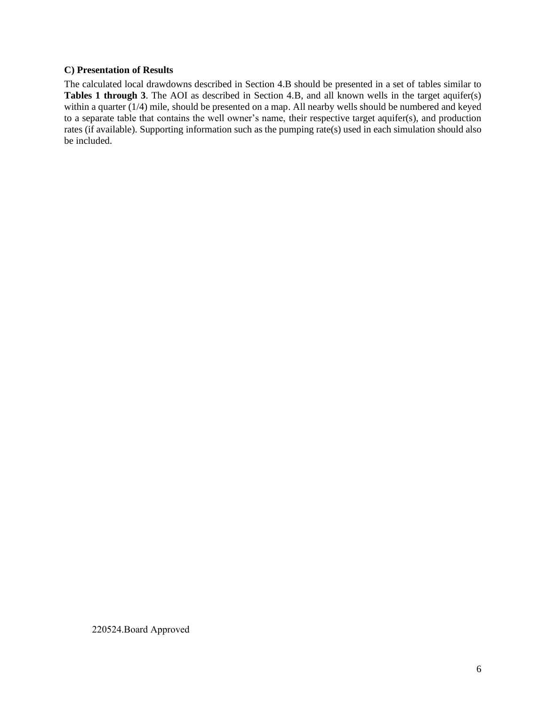#### **C) Presentation of Results**

The calculated local drawdowns described in Section 4.B should be presented in a set of tables similar to **Tables 1 through 3**. The AOI as described in Section 4.B, and all known wells in the target aquifer(s) within a quarter (1/4) mile, should be presented on a map. All nearby wells should be numbered and keyed to a separate table that contains the well owner's name, their respective target aquifer(s), and production rates (if available). Supporting information such as the pumping rate(s) used in each simulation should also be included.

220524.Board Approved